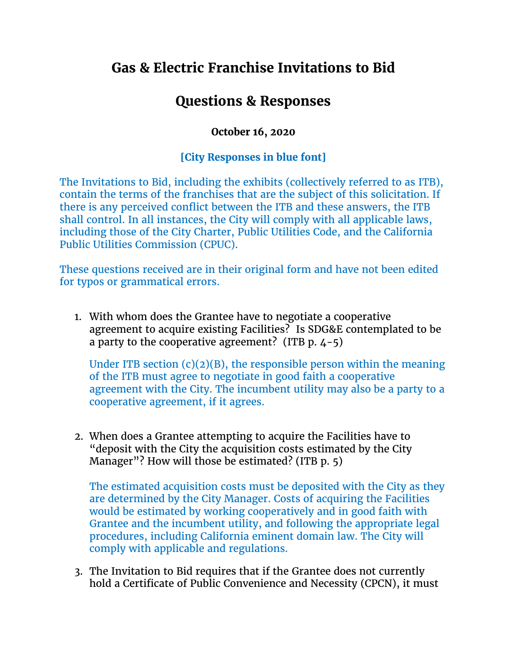## **Gas & Electric Franchise Invitations to Bid**

## **Questions & Responses**

## **October 16, 2020**

## **[City Responses in blue font]**

The Invitations to Bid, including the exhibits (collectively referred to as ITB), contain the terms of the franchises that are the subject of this solicitation. If there is any perceived conflict between the ITB and these answers, the ITB shall control. In all instances, the City will comply with all applicable laws, including those of the City Charter, Public Utilities Code, and the California Public Utilities Commission (CPUC).

These questions received are in their original form and have not been edited for typos or grammatical errors.

1. With whom does the Grantee have to negotiate a cooperative agreement to acquire existing Facilities? Is SDG&E contemplated to be a party to the cooperative agreement? (ITB  $p.$  4-5)

Under ITB section  $(c)(2)(B)$ , the responsible person within the meaning of the ITB must agree to negotiate in good faith a cooperative agreement with the City. The incumbent utility may also be a party to a cooperative agreement, if it agrees.

2. When does a Grantee attempting to acquire the Facilities have to "deposit with the City the acquisition costs estimated by the City Manager"? How will those be estimated? (ITB p. 5)

The estimated acquisition costs must be deposited with the City as they are determined by the City Manager. Costs of acquiring the Facilities would be estimated by working cooperatively and in good faith with Grantee and the incumbent utility, and following the appropriate legal procedures, including California eminent domain law. The City will comply with applicable and regulations.

3. The Invitation to Bid requires that if the Grantee does not currently hold a Certificate of Public Convenience and Necessity (CPCN), it must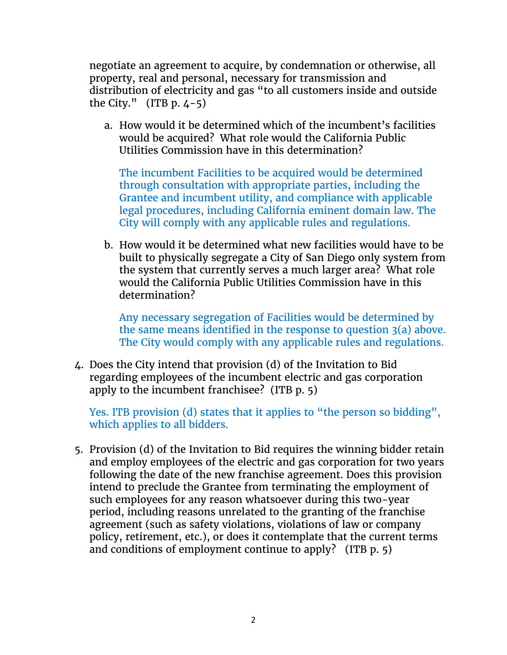negotiate an agreement to acquire, by condemnation or otherwise, all property, real and personal, necessary for transmission and distribution of electricity and gas "to all customers inside and outside the City."  $(ITB p. 4-5)$ 

a. How would it be determined which of the incumbent's facilities would be acquired? What role would the California Public Utilities Commission have in this determination?

The incumbent Facilities to be acquired would be determined through consultation with appropriate parties, including the Grantee and incumbent utility, and compliance with applicable legal procedures, including California eminent domain law. The City will comply with any applicable rules and regulations.

b. How would it be determined what new facilities would have to be built to physically segregate a City of San Diego only system from the system that currently serves a much larger area? What role would the California Public Utilities Commission have in this determination?

Any necessary segregation of Facilities would be determined by the same means identified in the response to question 3(a) above. The City would comply with any applicable rules and regulations.

4. Does the City intend that provision (d) of the Invitation to Bid regarding employees of the incumbent electric and gas corporation apply to the incumbent franchisee? (ITB p. 5)

Yes. ITB provision (d) states that it applies to "the person so bidding", which applies to all bidders.

5. Provision (d) of the Invitation to Bid requires the winning bidder retain and employ employees of the electric and gas corporation for two years following the date of the new franchise agreement. Does this provision intend to preclude the Grantee from terminating the employment of such employees for any reason whatsoever during this two-year period, including reasons unrelated to the granting of the franchise agreement (such as safety violations, violations of law or company policy, retirement, etc.), or does it contemplate that the current terms and conditions of employment continue to apply? (ITB p. 5)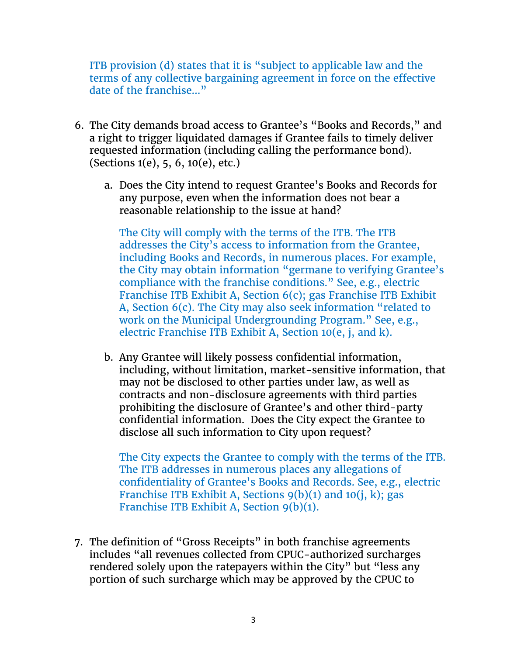ITB provision (d) states that it is "subject to applicable law and the terms of any collective bargaining agreement in force on the effective date of the franchise…"

- 6. The City demands broad access to Grantee's "Books and Records," and a right to trigger liquidated damages if Grantee fails to timely deliver requested information (including calling the performance bond). (Sections 1(e), 5, 6, 10(e), etc.)
	- a. Does the City intend to request Grantee's Books and Records for any purpose, even when the information does not bear a reasonable relationship to the issue at hand?

The City will comply with the terms of the ITB. The ITB addresses the City's access to information from the Grantee, including Books and Records, in numerous places. For example, the City may obtain information "germane to verifying Grantee's compliance with the franchise conditions." See, e.g., electric Franchise ITB Exhibit A, Section 6(c); gas Franchise ITB Exhibit A, Section 6(c). The City may also seek information "related to work on the Municipal Undergrounding Program." See, e.g., electric Franchise ITB Exhibit A, Section 10(e, j, and k).

b. Any Grantee will likely possess confidential information, including, without limitation, market-sensitive information, that may not be disclosed to other parties under law, as well as contracts and non-disclosure agreements with third parties prohibiting the disclosure of Grantee's and other third-party confidential information. Does the City expect the Grantee to disclose all such information to City upon request?

The City expects the Grantee to comply with the terms of the ITB. The ITB addresses in numerous places any allegations of confidentiality of Grantee's Books and Records. See, e.g., electric Franchise ITB Exhibit A, Sections  $9(b)(1)$  and  $10(i, k)$ ; gas Franchise ITB Exhibit A, Section 9(b)(1).

7. The definition of "Gross Receipts" in both franchise agreements includes "all revenues collected from CPUC-authorized surcharges rendered solely upon the ratepayers within the City" but "less any portion of such surcharge which may be approved by the CPUC to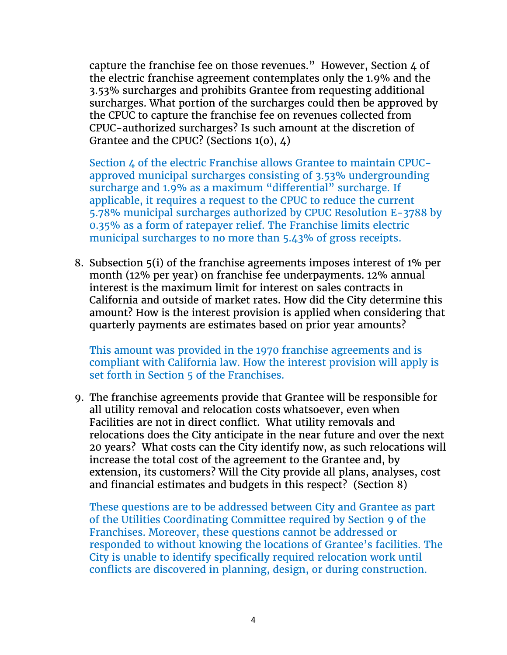capture the franchise fee on those revenues." However, Section 4 of the electric franchise agreement contemplates only the 1.9% and the 3.53% surcharges and prohibits Grantee from requesting additional surcharges. What portion of the surcharges could then be approved by the CPUC to capture the franchise fee on revenues collected from CPUC-authorized surcharges? Is such amount at the discretion of Grantee and the CPUC? (Sections 1(o), 4)

Section 4 of the electric Franchise allows Grantee to maintain CPUCapproved municipal surcharges consisting of 3.53% undergrounding surcharge and 1.9% as a maximum "differential" surcharge. If applicable, it requires a request to the CPUC to reduce the current 5.78% municipal surcharges authorized by CPUC Resolution E-3788 by 0.35% as a form of ratepayer relief. The Franchise limits electric municipal surcharges to no more than 5.43% of gross receipts.

8. Subsection 5(i) of the franchise agreements imposes interest of 1% per month (12% per year) on franchise fee underpayments. 12% annual interest is the maximum limit for interest on sales contracts in California and outside of market rates. How did the City determine this amount? How is the interest provision is applied when considering that quarterly payments are estimates based on prior year amounts?

This amount was provided in the 1970 franchise agreements and is compliant with California law. How the interest provision will apply is set forth in Section 5 of the Franchises.

9. The franchise agreements provide that Grantee will be responsible for all utility removal and relocation costs whatsoever, even when Facilities are not in direct conflict. What utility removals and relocations does the City anticipate in the near future and over the next 20 years? What costs can the City identify now, as such relocations will increase the total cost of the agreement to the Grantee and, by extension, its customers? Will the City provide all plans, analyses, cost and financial estimates and budgets in this respect? (Section 8)

These questions are to be addressed between City and Grantee as part of the Utilities Coordinating Committee required by Section 9 of the Franchises. Moreover, these questions cannot be addressed or responded to without knowing the locations of Grantee's facilities. The City is unable to identify specifically required relocation work until conflicts are discovered in planning, design, or during construction.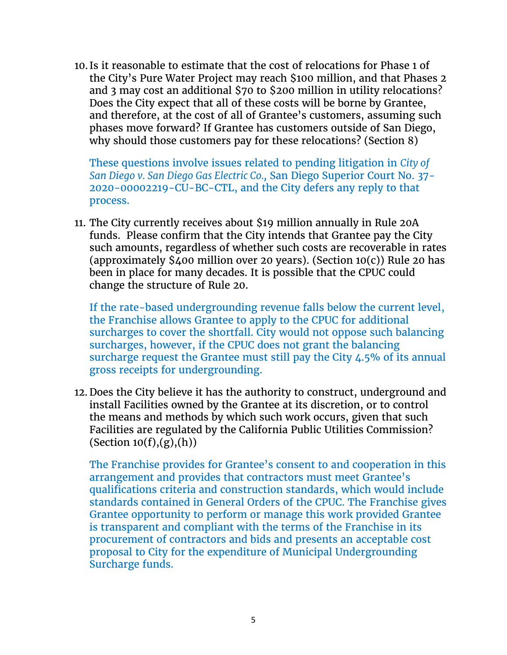10. Is it reasonable to estimate that the cost of relocations for Phase 1 of the City's Pure Water Project may reach \$100 million, and that Phases 2 and 3 may cost an additional \$70 to \$200 million in utility relocations? Does the City expect that all of these costs will be borne by Grantee, and therefore, at the cost of all of Grantee's customers, assuming such phases move forward? If Grantee has customers outside of San Diego, why should those customers pay for these relocations? (Section 8)

These questions involve issues related to pending litigation in *City of San Diego v. San Diego Gas Electric Co.,* San Diego Superior Court No. 37- 2020-00002219-CU-BC-CTL, and the City defers any reply to that process.

11. The City currently receives about \$19 million annually in Rule 20A funds. Please confirm that the City intends that Grantee pay the City such amounts, regardless of whether such costs are recoverable in rates (approximately  $\frac{5}{400}$  million over 20 years). (Section 10(c)) Rule 20 has been in place for many decades. It is possible that the CPUC could change the structure of Rule 20.

If the rate-based undergrounding revenue falls below the current level, the Franchise allows Grantee to apply to the CPUC for additional surcharges to cover the shortfall. City would not oppose such balancing surcharges, however, if the CPUC does not grant the balancing surcharge request the Grantee must still pay the City 4.5% of its annual gross receipts for undergrounding.

12. Does the City believe it has the authority to construct, underground and install Facilities owned by the Grantee at its discretion, or to control the means and methods by which such work occurs, given that such Facilities are regulated by the California Public Utilities Commission?  $(Section 10(f),(g),(h))$ 

The Franchise provides for Grantee's consent to and cooperation in this arrangement and provides that contractors must meet Grantee's qualifications criteria and construction standards, which would include standards contained in General Orders of the CPUC. The Franchise gives Grantee opportunity to perform or manage this work provided Grantee is transparent and compliant with the terms of the Franchise in its procurement of contractors and bids and presents an acceptable cost proposal to City for the expenditure of Municipal Undergrounding Surcharge funds.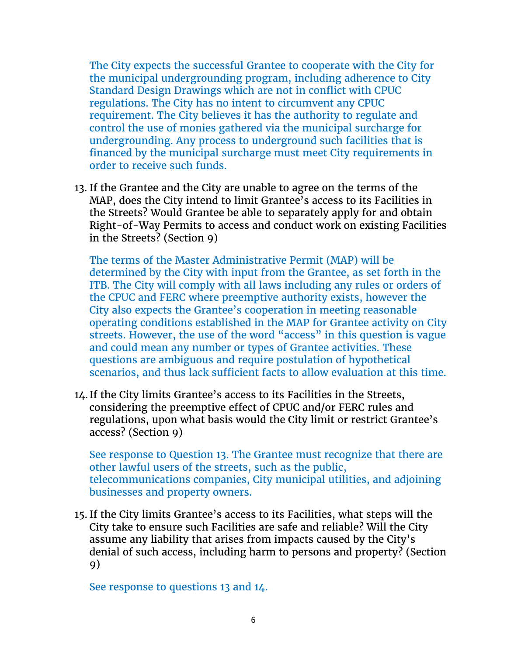The City expects the successful Grantee to cooperate with the City for the municipal undergrounding program, including adherence to City Standard Design Drawings which are not in conflict with CPUC regulations. The City has no intent to circumvent any CPUC requirement. The City believes it has the authority to regulate and control the use of monies gathered via the municipal surcharge for undergrounding. Any process to underground such facilities that is financed by the municipal surcharge must meet City requirements in order to receive such funds.

13. If the Grantee and the City are unable to agree on the terms of the MAP, does the City intend to limit Grantee's access to its Facilities in the Streets? Would Grantee be able to separately apply for and obtain Right-of-Way Permits to access and conduct work on existing Facilities in the Streets? (Section 9)

The terms of the Master Administrative Permit (MAP) will be determined by the City with input from the Grantee, as set forth in the ITB. The City will comply with all laws including any rules or orders of the CPUC and FERC where preemptive authority exists, however the City also expects the Grantee's cooperation in meeting reasonable operating conditions established in the MAP for Grantee activity on City streets. However, the use of the word "access" in this question is vague and could mean any number or types of Grantee activities. These questions are ambiguous and require postulation of hypothetical scenarios, and thus lack sufficient facts to allow evaluation at this time.

14. If the City limits Grantee's access to its Facilities in the Streets, considering the preemptive effect of CPUC and/or FERC rules and regulations, upon what basis would the City limit or restrict Grantee's access? (Section 9)

See response to Question 13. The Grantee must recognize that there are other lawful users of the streets, such as the public, telecommunications companies, City municipal utilities, and adjoining businesses and property owners.

15. If the City limits Grantee's access to its Facilities, what steps will the City take to ensure such Facilities are safe and reliable? Will the City assume any liability that arises from impacts caused by the City's denial of such access, including harm to persons and property? (Section 9)

See response to questions 13 and 14.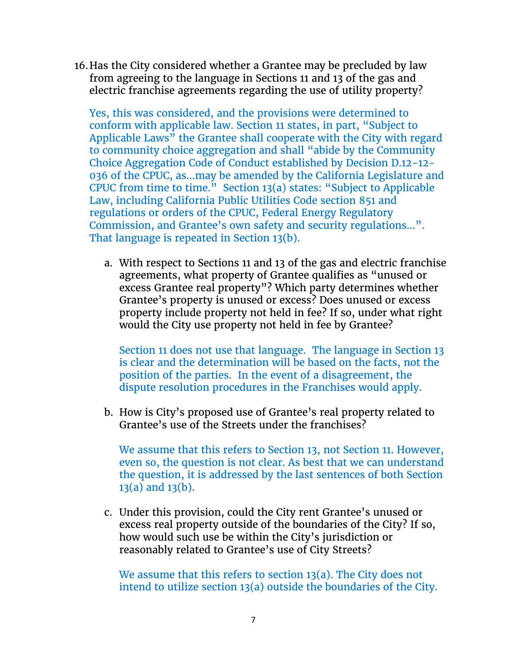16.Has the City considered whether a Grantee may be precluded by law from agreeing to the language in Sections 11 and 13 of the gas and electric franchise agreements regarding the use of utility property?

Yes, this was considered, and the provisions were determined to conform with applicable law. Section 11 states, in part, "Subject to Applicable Laws" the Grantee shall cooperate with the City with regard to community choice aggregation and shall "abide by the Community Choice Aggregation Code of Conduct established by Decision D.12-12- 036 of the CPUC, as…may be amended by the California Legislature and CPUC from time to time." Section 13(a) states: "Subject to Applicable Law, including California Public Utilities Code section 851 and regulations or orders of the CPUC, Federal Energy Regulatory Commission, and Grantee's own safety and security regulations…". That language is repeated in Section 13(b).

a. With respect to Sections 11 and 13 of the gas and electric franchise agreements, what property of Grantee qualifies as "unused or excess Grantee real property"? Which party determines whether Grantee's property is unused or excess? Does unused or excess property include property not held in fee? If so, under what right would the City use property not held in fee by Grantee?

Section 11 does not use that language. The language in Section 13 is clear and the determination will be based on the facts, not the position of the parties. In the event of a disagreement, the dispute resolution procedures in the Franchises would apply.

b. How is City's proposed use of Grantee's real property related to Grantee's use of the Streets under the franchises?

We assume that this refers to Section 13, not Section 11. However, even so, the question is not clear. As best that we can understand the question, it is addressed by the last sentences of both Section 13(a) and 13(b).

c. Under this provision, could the City rent Grantee's unused or excess real property outside of the boundaries of the City? If so, how would such use be within the City's jurisdiction or reasonably related to Grantee's use of City Streets?

We assume that this refers to section 13(a). The City does not intend to utilize section 13(a) outside the boundaries of the City.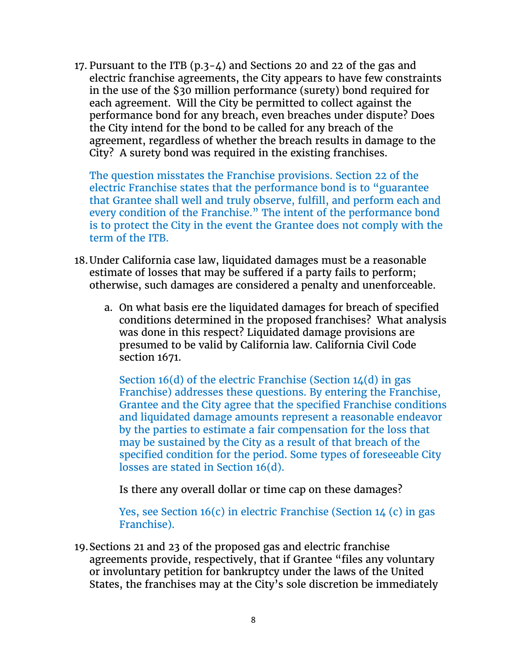17. Pursuant to the ITB (p.3-4) and Sections 20 and 22 of the gas and electric franchise agreements, the City appears to have few constraints in the use of the \$30 million performance (surety) bond required for each agreement. Will the City be permitted to collect against the performance bond for any breach, even breaches under dispute? Does the City intend for the bond to be called for any breach of the agreement, regardless of whether the breach results in damage to the City? A surety bond was required in the existing franchises.

The question misstates the Franchise provisions. Section 22 of the electric Franchise states that the performance bond is to "guarantee that Grantee shall well and truly observe, fulfill, and perform each and every condition of the Franchise." The intent of the performance bond is to protect the City in the event the Grantee does not comply with the term of the ITB.

- 18.Under California case law, liquidated damages must be a reasonable estimate of losses that may be suffered if a party fails to perform; otherwise, such damages are considered a penalty and unenforceable.
	- a. On what basis ere the liquidated damages for breach of specified conditions determined in the proposed franchises? What analysis was done in this respect? Liquidated damage provisions are presumed to be valid by California law. California Civil Code section 1671.

Section 16(d) of the electric Franchise (Section  $1/4$ (d) in gas Franchise) addresses these questions. By entering the Franchise, Grantee and the City agree that the specified Franchise conditions and liquidated damage amounts represent a reasonable endeavor by the parties to estimate a fair compensation for the loss that may be sustained by the City as a result of that breach of the specified condition for the period. Some types of foreseeable City losses are stated in Section 16(d).

Is there any overall dollar or time cap on these damages?

Yes, see Section 16(c) in electric Franchise (Section 14 (c) in gas Franchise).

19.Sections 21 and 23 of the proposed gas and electric franchise agreements provide, respectively, that if Grantee "files any voluntary or involuntary petition for bankruptcy under the laws of the United States, the franchises may at the City's sole discretion be immediately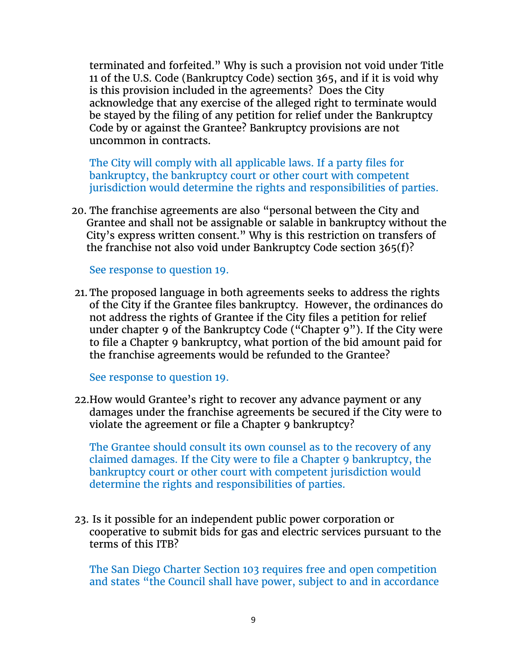terminated and forfeited." Why is such a provision not void under Title 11 of the U.S. Code (Bankruptcy Code) section 365, and if it is void why is this provision included in the agreements? Does the City acknowledge that any exercise of the alleged right to terminate would be stayed by the filing of any petition for relief under the Bankruptcy Code by or against the Grantee? Bankruptcy provisions are not uncommon in contracts.

The City will comply with all applicable laws. If a party files for bankruptcy, the bankruptcy court or other court with competent jurisdiction would determine the rights and responsibilities of parties.

20. The franchise agreements are also "personal between the City and Grantee and shall not be assignable or salable in bankruptcy without the City's express written consent." Why is this restriction on transfers of the franchise not also void under Bankruptcy Code section 365(f)?

See response to question 19.

21. The proposed language in both agreements seeks to address the rights of the City if the Grantee files bankruptcy. However, the ordinances do not address the rights of Grantee if the City files a petition for relief under chapter 9 of the Bankruptcy Code ("Chapter 9"). If the City were to file a Chapter 9 bankruptcy, what portion of the bid amount paid for the franchise agreements would be refunded to the Grantee?

See response to question 19.

22.How would Grantee's right to recover any advance payment or any damages under the franchise agreements be secured if the City were to violate the agreement or file a Chapter 9 bankruptcy?

The Grantee should consult its own counsel as to the recovery of any claimed damages. If the City were to file a Chapter 9 bankruptcy, the bankruptcy court or other court with competent jurisdiction would determine the rights and responsibilities of parties.

23. Is it possible for an independent public power corporation or cooperative to submit bids for gas and electric services pursuant to the terms of this ITB?

The San Diego Charter Section 103 requires free and open competition and states "the Council shall have power, subject to and in accordance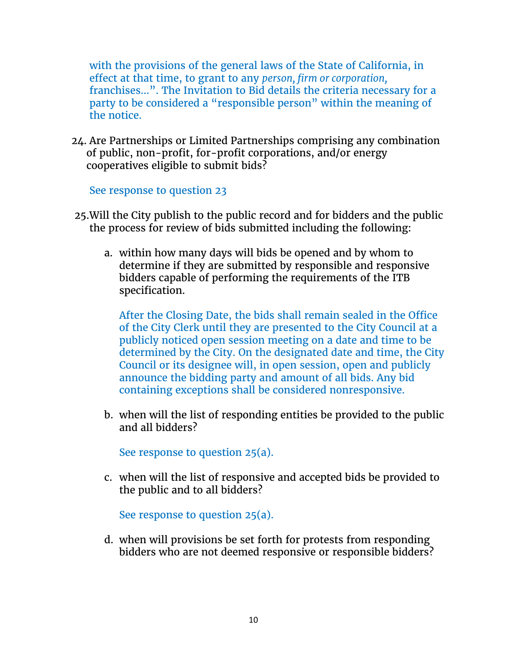with the provisions of the general laws of the State of California, in effect at that time, to grant to any *person, firm or corporation,*  franchises…". The Invitation to Bid details the criteria necessary for a party to be considered a "responsible person" within the meaning of the notice.

24. Are Partnerships or Limited Partnerships comprising any combination of public, non-profit, for-profit corporations, and/or energy cooperatives eligible to submit bids?

See response to question 23

- 25.Will the City publish to the public record and for bidders and the public the process for review of bids submitted including the following:
	- a. within how many days will bids be opened and by whom to determine if they are submitted by responsible and responsive bidders capable of performing the requirements of the ITB specification.

After the Closing Date, the bids shall remain sealed in the Office of the City Clerk until they are presented to the City Council at a publicly noticed open session meeting on a date and time to be determined by the City. On the designated date and time, the City Council or its designee will, in open session, open and publicly announce the bidding party and amount of all bids. Any bid containing exceptions shall be considered nonresponsive.

b. when will the list of responding entities be provided to the public and all bidders?

See response to question 25(a).

c. when will the list of responsive and accepted bids be provided to the public and to all bidders?

See response to question 25(a).

d. when will provisions be set forth for protests from responding bidders who are not deemed responsive or responsible bidders?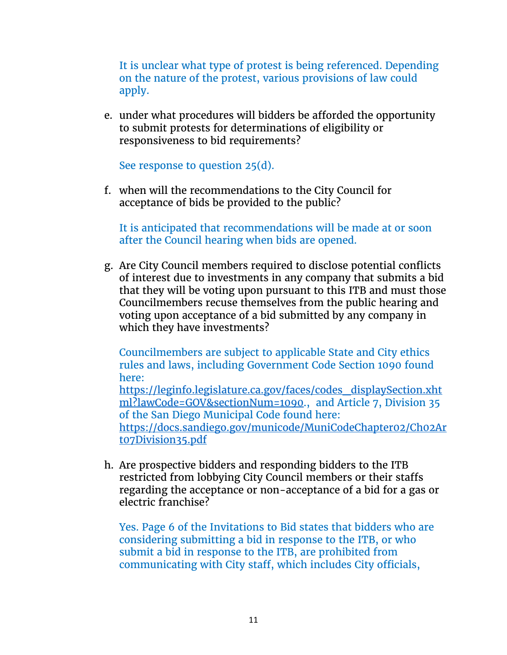It is unclear what type of protest is being referenced. Depending on the nature of the protest, various provisions of law could apply.

e. under what procedures will bidders be afforded the opportunity to submit protests for determinations of eligibility or responsiveness to bid requirements?

See response to question 25(d).

f. when will the recommendations to the City Council for acceptance of bids be provided to the public?

It is anticipated that recommendations will be made at or soon after the Council hearing when bids are opened.

g. Are City Council members required to disclose potential conflicts of interest due to investments in any company that submits a bid that they will be voting upon pursuant to this ITB and must those Councilmembers recuse themselves from the public hearing and voting upon acceptance of a bid submitted by any company in which they have investments?

Councilmembers are subject to applicable State and City ethics rules and laws, including Government Code Section 1090 found here:

[https://leginfo.legislature.ca.gov/faces/codes\\_displaySection.xht](https://leginfo.legislature.ca.gov/faces/codes_displaySection.xhtml?lawCode=GOV§ionNum=1090) [ml?lawCode=GOV&sectionNum=1090.](https://leginfo.legislature.ca.gov/faces/codes_displaySection.xhtml?lawCode=GOV§ionNum=1090), and Article 7, Division 35 of the San Diego Municipal Code found here:

[https://docs.sandiego.gov/municode/MuniCodeChapter02/Ch02Ar](https://docs.sandiego.gov/municode/MuniCodeChapter02/Ch02Art07Division35.pdf) [t07Division35.pdf](https://docs.sandiego.gov/municode/MuniCodeChapter02/Ch02Art07Division35.pdf)

h. Are prospective bidders and responding bidders to the ITB restricted from lobbying City Council members or their staffs regarding the acceptance or non-acceptance of a bid for a gas or electric franchise?

Yes. Page 6 of the Invitations to Bid states that bidders who are considering submitting a bid in response to the ITB, or who submit a bid in response to the ITB, are prohibited from communicating with City staff, which includes City officials,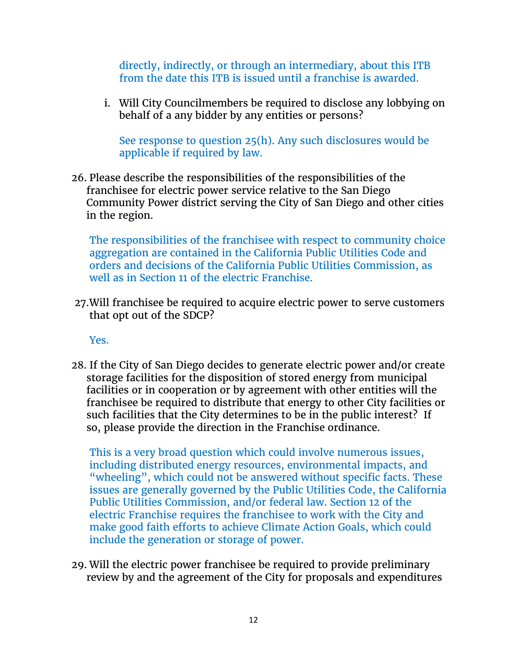directly, indirectly, or through an intermediary, about this ITB from the date this ITB is issued until a franchise is awarded.

i. Will City Councilmembers be required to disclose any lobbying on behalf of a any bidder by any entities or persons?

See response to question 25(h). Any such disclosures would be applicable if required by law.

26. Please describe the responsibilities of the responsibilities of the franchisee for electric power service relative to the San Diego Community Power district serving the City of San Diego and other cities in the region.

The responsibilities of the franchisee with respect to community choice aggregation are contained in the California Public Utilities Code and orders and decisions of the California Public Utilities Commission, as well as in Section 11 of the electric Franchise.

27.Will franchisee be required to acquire electric power to serve customers that opt out of the SDCP?

Yes.

28. If the City of San Diego decides to generate electric power and/or create storage facilities for the disposition of stored energy from municipal facilities or in cooperation or by agreement with other entities will the franchisee be required to distribute that energy to other City facilities or such facilities that the City determines to be in the public interest? If so, please provide the direction in the Franchise ordinance.

This is a very broad question which could involve numerous issues, including distributed energy resources, environmental impacts, and "wheeling", which could not be answered without specific facts. These issues are generally governed by the Public Utilities Code, the California Public Utilities Commission, and/or federal law. Section 12 of the electric Franchise requires the franchisee to work with the City and make good faith efforts to achieve Climate Action Goals, which could include the generation or storage of power.

29. Will the electric power franchisee be required to provide preliminary review by and the agreement of the City for proposals and expenditures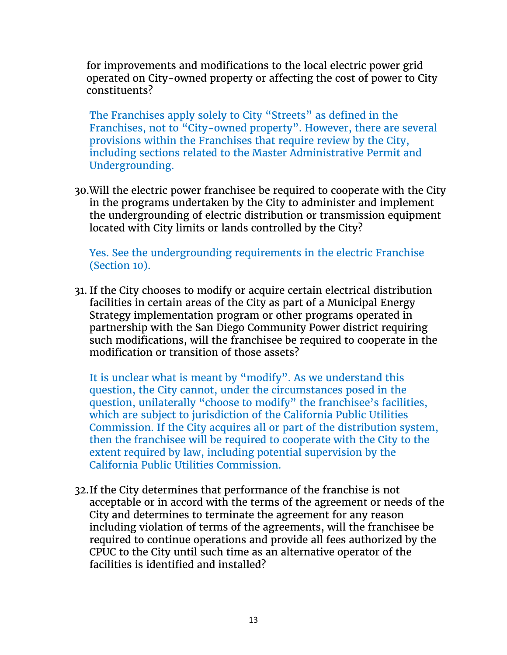for improvements and modifications to the local electric power grid operated on City-owned property or affecting the cost of power to City constituents?

The Franchises apply solely to City "Streets" as defined in the Franchises, not to "City-owned property". However, there are several provisions within the Franchises that require review by the City, including sections related to the Master Administrative Permit and Undergrounding.

30.Will the electric power franchisee be required to cooperate with the City in the programs undertaken by the City to administer and implement the undergrounding of electric distribution or transmission equipment located with City limits or lands controlled by the City?

Yes. See the undergrounding requirements in the electric Franchise (Section 10).

31. If the City chooses to modify or acquire certain electrical distribution facilities in certain areas of the City as part of a Municipal Energy Strategy implementation program or other programs operated in partnership with the San Diego Community Power district requiring such modifications, will the franchisee be required to cooperate in the modification or transition of those assets?

It is unclear what is meant by "modify". As we understand this question, the City cannot, under the circumstances posed in the question, unilaterally "choose to modify" the franchisee's facilities, which are subject to jurisdiction of the California Public Utilities Commission. If the City acquires all or part of the distribution system, then the franchisee will be required to cooperate with the City to the extent required by law, including potential supervision by the California Public Utilities Commission.

32.If the City determines that performance of the franchise is not acceptable or in accord with the terms of the agreement or needs of the City and determines to terminate the agreement for any reason including violation of terms of the agreements, will the franchisee be required to continue operations and provide all fees authorized by the CPUC to the City until such time as an alternative operator of the facilities is identified and installed?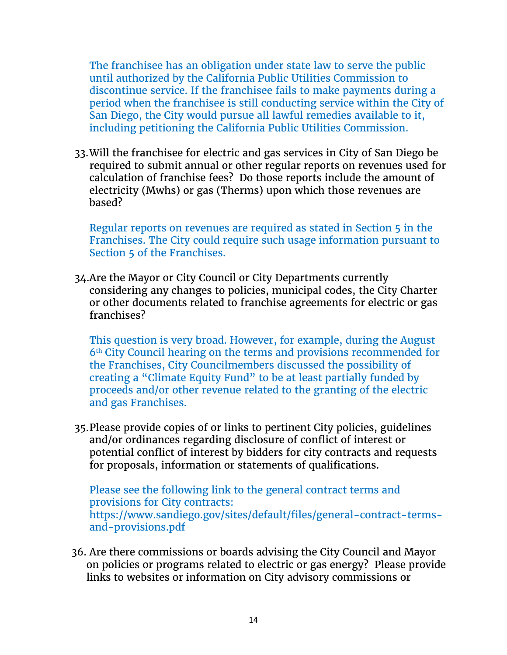The franchisee has an obligation under state law to serve the public until authorized by the California Public Utilities Commission to discontinue service. If the franchisee fails to make payments during a period when the franchisee is still conducting service within the City of San Diego, the City would pursue all lawful remedies available to it, including petitioning the California Public Utilities Commission.

33.Will the franchisee for electric and gas services in City of San Diego be required to submit annual or other regular reports on revenues used for calculation of franchise fees? Do those reports include the amount of electricity (Mwhs) or gas (Therms) upon which those revenues are based?

Regular reports on revenues are required as stated in Section 5 in the Franchises. The City could require such usage information pursuant to Section 5 of the Franchises.

34.Are the Mayor or City Council or City Departments currently considering any changes to policies, municipal codes, the City Charter or other documents related to franchise agreements for electric or gas franchises?

This question is very broad. However, for example, during the August 6th City Council hearing on the terms and provisions recommended for the Franchises, City Councilmembers discussed the possibility of creating a "Climate Equity Fund" to be at least partially funded by proceeds and/or other revenue related to the granting of the electric and gas Franchises.

35.Please provide copies of or links to pertinent City policies, guidelines and/or ordinances regarding disclosure of conflict of interest or potential conflict of interest by bidders for city contracts and requests for proposals, information or statements of qualifications.

Please see the following link to the general contract terms and provisions for City contracts: https://www.sandiego.gov/sites/default/files/general-contract-termsand-provisions.pdf

36. Are there commissions or boards advising the City Council and Mayor on policies or programs related to electric or gas energy? Please provide links to websites or information on City advisory commissions or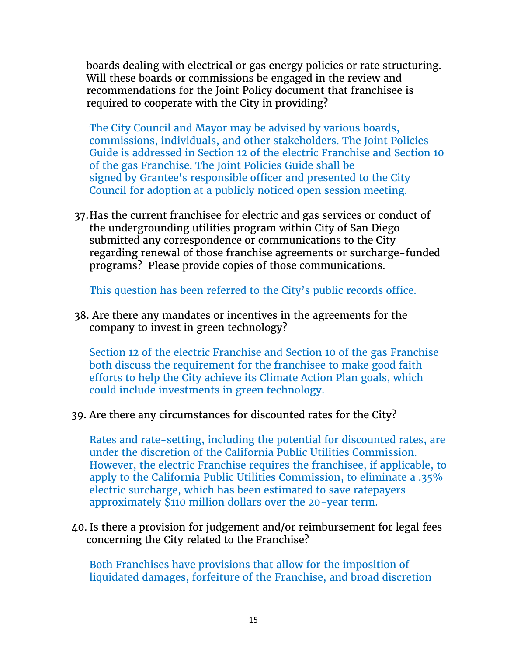boards dealing with electrical or gas energy policies or rate structuring. Will these boards or commissions be engaged in the review and recommendations for the Joint Policy document that franchisee is required to cooperate with the City in providing?

The City Council and Mayor may be advised by various boards, commissions, individuals, and other stakeholders. The Joint Policies Guide is addressed in Section 12 of the electric Franchise and Section 10 of the gas Franchise. The Joint Policies Guide shall be signed by Grantee's responsible officer and presented to the City Council for adoption at a publicly noticed open session meeting.

37.Has the current franchisee for electric and gas services or conduct of the undergrounding utilities program within City of San Diego submitted any correspondence or communications to the City regarding renewal of those franchise agreements or surcharge-funded programs? Please provide copies of those communications.

This question has been referred to the City's public records office.

38. Are there any mandates or incentives in the agreements for the company to invest in green technology?

Section 12 of the electric Franchise and Section 10 of the gas Franchise both discuss the requirement for the franchisee to make good faith efforts to help the City achieve its Climate Action Plan goals, which could include investments in green technology.

39. Are there any circumstances for discounted rates for the City?

Rates and rate-setting, including the potential for discounted rates, are under the discretion of the California Public Utilities Commission. However, the electric Franchise requires the franchisee, if applicable, to apply to the California Public Utilities Commission, to eliminate a .35% electric surcharge, which has been estimated to save ratepayers approximately \$110 million dollars over the 20-year term.

40. Is there a provision for judgement and/or reimbursement for legal fees concerning the City related to the Franchise?

Both Franchises have provisions that allow for the imposition of liquidated damages, forfeiture of the Franchise, and broad discretion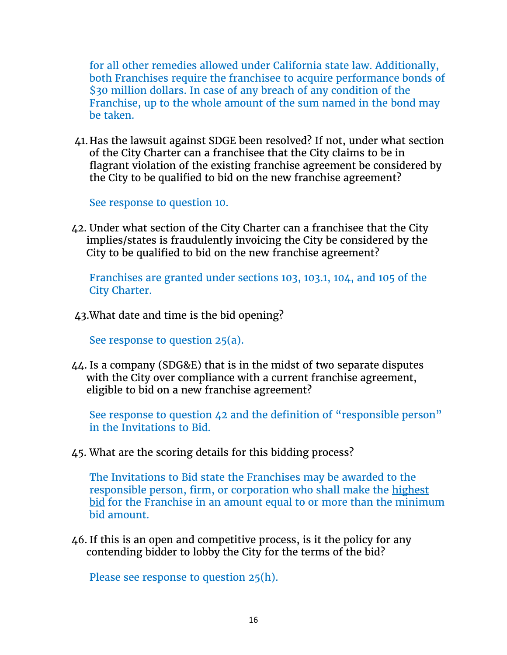for all other remedies allowed under California state law. Additionally, both Franchises require the franchisee to acquire performance bonds of \$30 million dollars. In case of any breach of any condition of the Franchise, up to the whole amount of the sum named in the bond may be taken.

41.Has the lawsuit against SDGE been resolved? If not, under what section of the City Charter can a franchisee that the City claims to be in flagrant violation of the existing franchise agreement be considered by the City to be qualified to bid on the new franchise agreement?

See response to question 10.

42. Under what section of the City Charter can a franchisee that the City implies/states is fraudulently invoicing the City be considered by the City to be qualified to bid on the new franchise agreement?

Franchises are granted under sections 103, 103.1, 104, and 105 of the City Charter.

43.What date and time is the bid opening?

See response to question 25(a).

44. Is a company (SDG&E) that is in the midst of two separate disputes with the City over compliance with a current franchise agreement, eligible to bid on a new franchise agreement?

See response to question 42 and the definition of "responsible person" in the Invitations to Bid.

45. What are the scoring details for this bidding process?

The Invitations to Bid state the Franchises may be awarded to the responsible person, firm, or corporation who shall make the highest bid for the Franchise in an amount equal to or more than the minimum bid amount.

46. If this is an open and competitive process, is it the policy for any contending bidder to lobby the City for the terms of the bid?

Please see response to question 25(h).